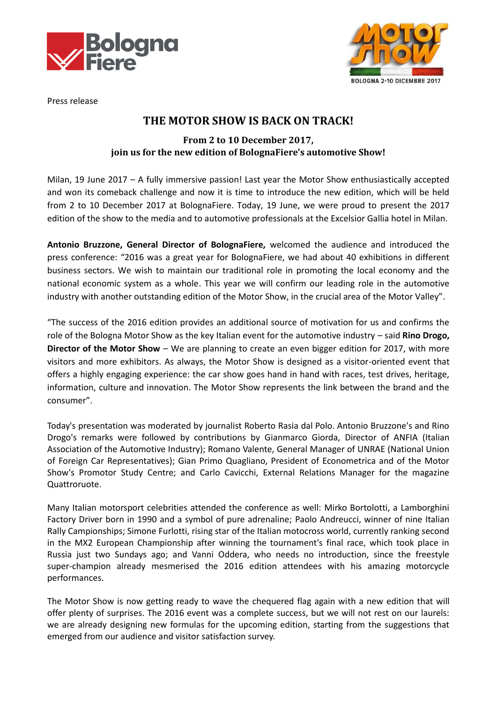



Press release

## **THE MOTOR SHOW IS BACK ON TRACK!**

## **From 2 to 10 December 2017, join us for the new edition of BolognaFiere's automotive Show!**

Milan, 19 June 2017 – A fully immersive passion! Last year the Motor Show enthusiastically accepted and won its comeback challenge and now it is time to introduce the new edition, which will be held from 2 to 10 December 2017 at BolognaFiere. Today, 19 June, we were proud to present the 2017 edition of the show to the media and to automotive professionals at the Excelsior Gallia hotel in Milan.

**Antonio Bruzzone, General Director of BolognaFiere,** welcomed the audience and introduced the press conference: "2016 was a great year for BolognaFiere, we had about 40 exhibitions in different business sectors. We wish to maintain our traditional role in promoting the local economy and the national economic system as a whole. This year we will confirm our leading role in the automotive industry with another outstanding edition of the Motor Show, in the crucial area of the Motor Valley".

"The success of the 2016 edition provides an additional source of motivation for us and confirms the role of the Bologna Motor Show as the key Italian event for the automotive industry – said **Rino Drogo, Director of the Motor Show** – We are planning to create an even bigger edition for 2017, with more visitors and more exhibitors. As always, the Motor Show is designed as a visitor-oriented event that offers a highly engaging experience: the car show goes hand in hand with races, test drives, heritage, information, culture and innovation. The Motor Show represents the link between the brand and the consumer".

Today's presentation was moderated by journalist Roberto Rasia dal Polo. Antonio Bruzzone's and Rino Drogo's remarks were followed by contributions by Gianmarco Giorda, Director of ANFIA (Italian Association of the Automotive Industry); Romano Valente, General Manager of UNRAE (National Union of Foreign Car Representatives); Gian Primo Quagliano, President of Econometrica and of the Motor Show's Promotor Study Centre; and Carlo Cavicchi, External Relations Manager for the magazine Quattroruote.

Many Italian motorsport celebrities attended the conference as well: Mirko Bortolotti, a Lamborghini Factory Driver born in 1990 and a symbol of pure adrenaline; Paolo Andreucci, winner of nine Italian Rally Campionships; Simone Furlotti, rising star of the Italian motocross world, currently ranking second in the MX2 European Championship after winning the tournament's final race, which took place in Russia just two Sundays ago; and Vanni Oddera, who needs no introduction, since the freestyle super-champion already mesmerised the 2016 edition attendees with his amazing motorcycle performances.

The Motor Show is now getting ready to wave the chequered flag again with a new edition that will offer plenty of surprises. The 2016 event was a complete success, but we will not rest on our laurels: we are already designing new formulas for the upcoming edition, starting from the suggestions that emerged from our audience and visitor satisfaction survey.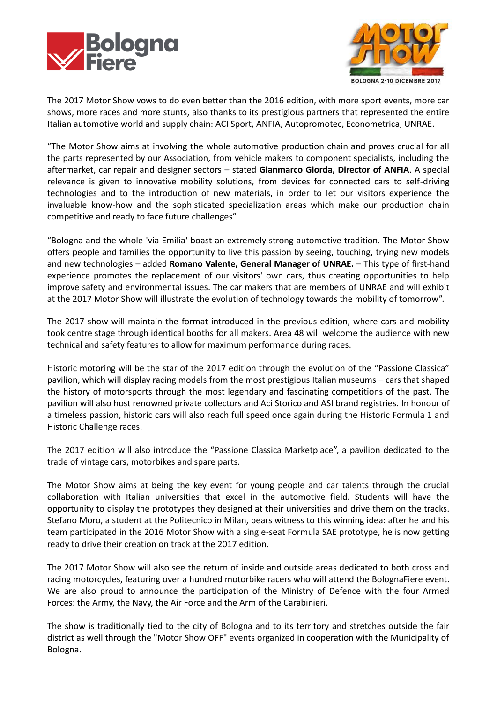



The 2017 Motor Show vows to do even better than the 2016 edition, with more sport events, more car shows, more races and more stunts, also thanks to its prestigious partners that represented the entire Italian automotive world and supply chain: ACI Sport, ANFIA, Autopromotec, Econometrica, UNRAE.

"The Motor Show aims at involving the whole automotive production chain and proves crucial for all the parts represented by our Association, from vehicle makers to component specialists, including the aftermarket, car repair and designer sectors – stated **Gianmarco Giorda, Director of ANFIA**. A special relevance is given to innovative mobility solutions, from devices for connected cars to self-driving technologies and to the introduction of new materials, in order to let our visitors experience the invaluable know-how and the sophisticated specialization areas which make our production chain competitive and ready to face future challenges".

"Bologna and the whole 'via Emilia' boast an extremely strong automotive tradition. The Motor Show offers people and families the opportunity to live this passion by seeing, touching, trying new models and new technologies – added **Romano Valente, General Manager of UNRAE.** – This type of first-hand experience promotes the replacement of our visitors' own cars, thus creating opportunities to help improve safety and environmental issues. The car makers that are members of UNRAE and will exhibit at the 2017 Motor Show will illustrate the evolution of technology towards the mobility of tomorrow".

The 2017 show will maintain the format introduced in the previous edition, where cars and mobility took centre stage through identical booths for all makers. Area 48 will welcome the audience with new technical and safety features to allow for maximum performance during races.

Historic motoring will be the star of the 2017 edition through the evolution of the "Passione Classica" pavilion, which will display racing models from the most prestigious Italian museums – cars that shaped the history of motorsports through the most legendary and fascinating competitions of the past. The pavilion will also host renowned private collectors and Aci Storico and ASI brand registries. In honour of a timeless passion, historic cars will also reach full speed once again during the Historic Formula 1 and Historic Challenge races.

The 2017 edition will also introduce the "Passione Classica Marketplace", a pavilion dedicated to the trade of vintage cars, motorbikes and spare parts.

The Motor Show aims at being the key event for young people and car talents through the crucial collaboration with Italian universities that excel in the automotive field. Students will have the opportunity to display the prototypes they designed at their universities and drive them on the tracks. Stefano Moro, a student at the Politecnico in Milan, bears witness to this winning idea: after he and his team participated in the 2016 Motor Show with a single-seat Formula SAE prototype, he is now getting ready to drive their creation on track at the 2017 edition.

The 2017 Motor Show will also see the return of inside and outside areas dedicated to both cross and racing motorcycles, featuring over a hundred motorbike racers who will attend the BolognaFiere event. We are also proud to announce the participation of the Ministry of Defence with the four Armed Forces: the Army, the Navy, the Air Force and the Arm of the Carabinieri.

The show is traditionally tied to the city of Bologna and to its territory and stretches outside the fair district as well through the "Motor Show OFF" events organized in cooperation with the Municipality of Bologna.